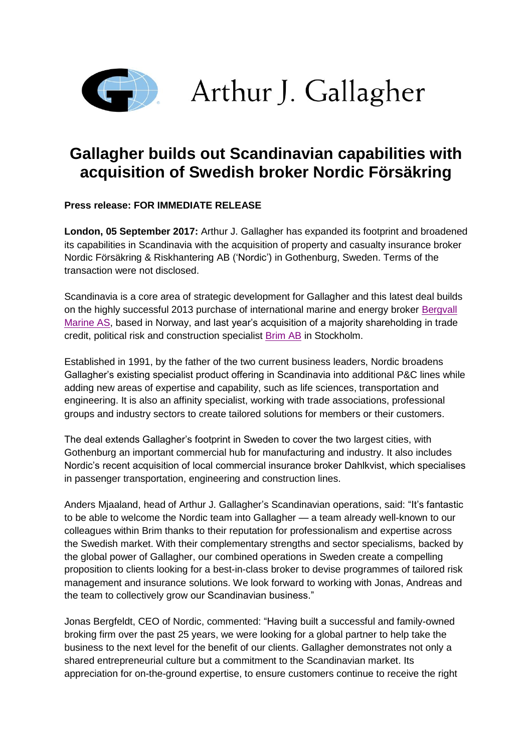

Arthur J. Gallagher

# **Gallagher builds out Scandinavian capabilities with acquisition of Swedish broker Nordic Försäkring**

**Press release: FOR IMMEDIATE RELEASE**

**London, 05 September 2017:** Arthur J. Gallagher has expanded its footprint and broadened its capabilities in Scandinavia with the acquisition of property and casualty insurance broker Nordic Försäkring & Riskhantering AB ('Nordic') in Gothenburg, Sweden. Terms of the transaction were not disclosed.

Scandinavia is a core area of strategic development for Gallagher and this latest deal builds on the highly successful 2013 purchase of international marine and energy broker [Bergvall](http://www.ajginternational.com/news-insights/articles/news/2013/arthur-j-gallagher-deepens-marine-expertise-with-acquisition-of-bergvall-marine/)  [Marine AS,](http://www.ajginternational.com/news-insights/articles/news/2013/arthur-j-gallagher-deepens-marine-expertise-with-acquisition-of-bergvall-marine/) based in Norway, and last year's acquisition of a majority shareholding in trade credit, political risk and construction specialist [Brim AB](http://www.ajginternational.com/news-insights/articles/news/2016/gallagher-bolsters-scandinavian-specialty-footprint-with-brim-acquisition/) in Stockholm.

Established in 1991, by the father of the two current business leaders, Nordic broadens Gallagher's existing specialist product offering in Scandinavia into additional P&C lines while adding new areas of expertise and capability, such as life sciences, transportation and engineering. It is also an affinity specialist, working with trade associations, professional groups and industry sectors to create tailored solutions for members or their customers.

The deal extends Gallagher's footprint in Sweden to cover the two largest cities, with Gothenburg an important commercial hub for manufacturing and industry. It also includes Nordic's recent acquisition of local commercial insurance broker Dahlkvist, which specialises in passenger transportation, engineering and construction lines.

Anders Mjaaland, head of Arthur J. Gallagher's Scandinavian operations, said: "It's fantastic to be able to welcome the Nordic team into Gallagher — a team already well-known to our colleagues within Brim thanks to their reputation for professionalism and expertise across the Swedish market. With their complementary strengths and sector specialisms, backed by the global power of Gallagher, our combined operations in Sweden create a compelling proposition to clients looking for a best-in-class broker to devise programmes of tailored risk management and insurance solutions. We look forward to working with Jonas, Andreas and the team to collectively grow our Scandinavian business."

Jonas Bergfeldt, CEO of Nordic, commented: "Having built a successful and family-owned broking firm over the past 25 years, we were looking for a global partner to help take the business to the next level for the benefit of our clients. Gallagher demonstrates not only a shared entrepreneurial culture but a commitment to the Scandinavian market. Its appreciation for on-the-ground expertise, to ensure customers continue to receive the right